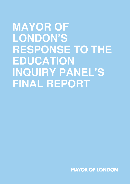# **MAYOR OF LONDON'S RESPONSE TO THE EDUCATION INQUIRY PANEL'S FINAL REPORT**

**MAYOR OF LONDON**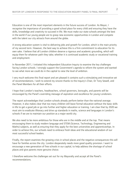Education is one of the most important elements in the future success of London. As Mayor, I recognise the importance of providing a good school place for every child and ensuring they have the skills, knowledge and creativity to succeed in life. We must make our state schools amongst the best in the world if our young people are to grasp new economic opportunities in London and compete with the talent our city attracts from around the globe.

A strong education system is vital to delivering jobs and growth for London, which is the main priority of my second term. However, the best way to achieve this is a firm commitment to education for its own sake. I believe that all London children deserve a rigorous and academic grounding, which will equip them for whatever path they take; whether it is continued academic study or vocational training and employment.

In November 2011, I initiated this independent Education Inquiry to examine the key challenges facing London schools. I strongly support the Government's agenda to reform the system and wanted to see what more we could do in the capital to raise the level of ambition.

I very much welcome this final report and am pleased it contains such a stimulating and innovative set of recommendations. I wish to extend my sincere thanks to the Inquiry's Chair, Dr Tony Sewell, and the Panel Members for all their efforts.

I hope that London's teachers, headteachers, school governors, boroughs, and parents will be encouraged by the Panel's overriding message of aspiration and excellence for young Londoners.

The report acknowledges that London schools already perform better than the national average. However, it also makes clear that too many children still leave formal education without the basic skills in life to get a good job or go into further and higher education or training. I am clear that by 2020 we must aim to eradicate illiteracy and drive up standards in maths, science and languages in London's schools if we are to maintain our position as a major world city.

We also need to be more ambitious for those who are in the middle and at the top. That means encouraging them to study modern language and STEM (Science, Technology, Engineering and Maths) subjects, as well as ensuring that they apply for the best universities and apprenticeships. In order to achieve this, our schools need to embrace fresh ideas and the educational wisdom of our most successful school leaders.

Finally, the report examines the growing crisis in school places and the negative consequences this will have for families across the city. London desperately needs more good quality provision. I want to encourage a new generation of free schools in our capital, to help address the shortage of school places and give parents more genuine choice.

I therefore welcome the challenges set out for my Mayoralty and accept all the Panel's recommendations.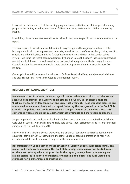I have set out below a record of the existing programmes and activities the GLA supports for young people in the capital, including investment of  $E14$ m on existing initiatives for children and young people.

In addition, I have set out new commitments below, in response to specific recommendations from the report.

The final report of my independent Education Inquiry recognises the ongoing importance of the boroughs and local school improvement networks, as well as the role of new academy chains, teaching schools and other initiatives in driving further improvement and ambition in the London school system. I welcome the recent acknowledgement by London Borough Leaders<sup>1</sup> that a new approach is needed and look forward to working with key partners, including schools, the boroughs, London Councils and the Government to develop more detailed implementation plans over the next few months.

Once again, I would like to record my thanks to Dr Tony Sewell, the Panel and the many individuals and organisations that have contributed to this important report.

#### **RESPONSE TO RECOMMENDATIONS**

Recommendation 1: In order to encourage all London schools to aspire to excellence and seek out best practice, the Mayor should establish a 'Gold Club' of schools that are 'bucking the trend' of low aspiration and under-achievement. These would be selected and announced on an annual basis, with a report featuring the background data for Gold Club schools. The publication should coincide with a major 'London as a Leading Global City' conference where schools can celebrate their achievements and share their approaches.

Supporting schools to learn from each other is vital to a good education system. I will establish the Gold Club of schools, which will share valuable data about school performance and lessons for school improvement. This will launch in 2013.

I also commit to facilitating events, workshops and an annual education conference about London education, starting in 2013, that will bring together London's teaching profession to hear from experts around the world and ensure they are at the forefront of ideas.

Recommendation 2: The Mayor should establish a 'London Schools Excellence Fund'. This major fund would work alongside the Gold Club to help schools make substantial progress on the most pressing education priorities in the capital, namely literacy, numeracy and raising standards in science, technology, engineering and maths. The fund would also stimulate new partnerships and innovation.

<sup>&</sup>lt;sup>1</sup> London Councils' Leaders Committee of 16<sup>th</sup> October 2012, Item 3, London local government education policy.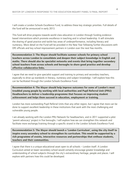I will create a London Schools Excellence Fund, to address these key strategic priorities. Full details of the fund will be announced in early 2013.

This fund will drive progress towards world-class education in London through funding evidencebased interventions which promote excellence in teaching and in school leadership. It will stimulate the sharing of good practice and tackle key areas of underperformance, including literacy and numeracy. More detail on the Fund will be provided in the New Year following further discussions with DfE officials and key school improvement partners in London over the next few months.

Recommendation 3: The Mayor should facilitate summer schools for primary school teachers across London to consolidate and deepen their subject knowledge in English and maths. There should also be specialist networks and events that bring together secondary school teachers from across schools and boroughs to share good practice and develop effective collaborative links.

I agree that we need to give specialist support and training to primary and secondary teachers, especially to drive up standards in literacy, numeracy and subject knowledge. I will explore how this can be facilitated through the London Schools Excellence Fund.

Recommendation 4: The Mayor should help improve outcomes for some of London's most troubled young people by working with local authorities and Pupil Referral Unit (PRU) Headteachers to deliver a leadership programme that focuses on improving student achievement and helps them succeed in education, employment or training.

London has more outstanding Pupil Referral Units than any other region, but I agree that more can be done to support excellent leadership in these institutions that work with the most challenging and vulnerable young people.

I am already working with the London PRU Network for headteachers, and in 2011 supported a pilot 'parent advocacy' project in five boroughs. I will explore how we can strengthen this network and facilitate more exchange/training through a specific strand in the London Schools Excellence Fund.

Recommendation 5: The Mayor should launch a 'London Curriculum', using the city itself to inspire every secondary school to strengthen its curriculum. This would be supported by a rich programme of events, interactive resources and partnerships that enthuse students, teachers and their communities.

I agree that there is a unique educational asset open to all schools – London itself. A London Curriculum aimed at lower-secondary school would certainly encourage greater knowledge and understanding of school subjects through the city's extraordinary heritage, people and places. I will explore with partners how this could be developed.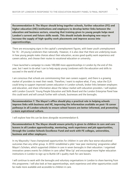Recommendation 6: The Mayor should bring together schools, further education (FE) and higher education (HE) institutions and employers to develop better links between the education and business sectors, ensuring that training given to young people helps meet London's current and future skills needs. This should include developing new ways to increase the supply of high-quality work placements and improve access into apprenticeships.

There are encouraging signs in the capital's unemployment figures, with lower youth unemployment for 16 - 24 young Londoners than nationally. However, it is also clear that there are underlying issues in how young people make choices about their education, access good quality work experience and careers advice, and choose their routes to vocational education or university.

I have launched a campaign to create 100,000 more apprenticeships in London by the end of this year, but I want to do what I can to help equip young Londoners with the education and skills to succeed in the world of work.

I am conscious that schools are commissioning their own careers support, and there is a growing market of providers to meet their needs. Therefore, I want to explore what, if any, value the GLA could bring to support improved careers education in London schools, broker links between employers and education, and share information about the labour market with education providers. I will explore with London Councils' Young People Education and Skills Board and the London Enterprise Panel how this could work and will consult further with schools, businesses and the boroughs.

Recommendation 7: The Mayor's office should play a practical role in helping schools improve links with business and HE, improving the information available on post-16 career pathwaysinallLondonschoolstoensureschoolleaversarebetterinformed,andpromoting a more aspirational culture.

I will explore how this can be done alongside recommendation 6.

Recommendation 8: The Mayor should ensure priority is given to children in care and care leavers in all London apprenticeship, mentoring, work experience and job opportunities, through the London Schools Excellence Fund and work with FE colleges, universities, business and other employers.

In my Mayoralty I have championed opportunities for children in care who face worse educational outcomesthananyothergroup.In2010Iestablishedapilot'nearpeermentoring'programmecalled Mayor's Scholars, which supported children in care in seven boroughs in their education. I organised innovative careers events for children in care called 'Wise Up' and encouraged more higher education institutions in London to sign up to Buttle UK's quality mark for care leavers.

I will continue to work with the boroughs and voluntary organisations in London to share learning from this programme. I will also look at how apprenticeships, work experience and other opportunities could be made more available and accessible to children in care.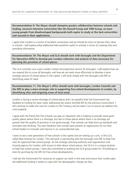Recommendation 9: The Mayor should champion greater collaboration between schools and leading, research-intensive universities like the Russell Group and 1994 Group, so more young people from disadvantaged backgrounds both aspire to study at the best universities and succeed in their applications.

I agree that London is a centre of excellent universities and we should do more to harness their value in schools. I will explore what additional help would be useful to schools in terms of creating links and providing information.

Recommendation 10: The Mayor and GLA should work with boroughs and the Department for Education (DfE) to develop pan-London collection and analysis of data necessary for planning the provision of school places.

The GLA currently runs a pan-London school roll projections service for boroughs. I will explore how we can expand this to cover all boroughs, and how we can work more effectively to develop a more strategic picture of school places in the capital. I will work closely with the boroughs and DfE on identifying areas of need.

Recommendation 11: The Mayor's office should work with boroughs, London Councils and the DfE to play a more strategic role in supporting free school developments in London, by identifying sites and targeting areas of local need.

London is facing a severe shortage of school places and I am grateful that the Government has doubled its funding for basic need, addressing the severe shortfall left by the previous Government. I will continue to make the case for London to the Treasury and do what I can to ensure we address this crisis properly.

I agree with the Panel that free schools can play an important role in helping to provide more good quality places where there is a shortage, but also in those places where there is no shortage yet parents feel the quality of provision is not good enough. Free schools can help drive up standards and stimulate new thinking. The new freedoms that schools have present an opportunity for our best school leaders to innovate and improve in an unprecedented way.

I want to see a new generation of free schools in the capital and am setting up a unit, in the GLA, called New Schools for London. This will work in partnership with the boroughs and DfE to help find sites for approved free school groups. As the strategic planning authority and regeneration and housing agency for London, with access to data about school places, the GLA is in a unique position to help free school groups. I have also committed to auditing the GLA group estate for 10 buildings or sites for purchase by the DfE for free school developments.

I will ask the Government for resources to support our work in this area and ensure that London gets the additional funding it needs to cope with the demographic change we face.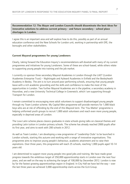### Recommendation 12: The Mayor and London Councils should disseminate the best ideas for innovative solutions to address current primary - and future secondary - school place shortages in London.

I agree this is an important area and will explore how to do this, possibly as part of an annual education conference and the New Schools for London unit, working in partnership with DfE, the boroughs and other stakeholders.

#### Current Mayoral programmes for young Londoners

Clearly, taking forward the Education Inquiry's recommendations will dovetail with many of my current programmes and initiatives for young Londoners. Some of these are school-based, while others relate to supporting young people into training and the job market.

I currently co-sponsor three secondary Mayoral Academies in London through the LAET (London Academies Enterprise Trust) – Nightingale and Aylward Academies in Enfield and the Bexleyheath Academy in Bexley. The aim is to turn around poor performing schools, ensuring that young people leave with a rich academic grounding and the skills and confidence to make the most of the opportunities in London. Two further Mayoral Academies are in the pipeline; a secondary academy in Hounslow, and a new University Technical College in Greenwich, which I am supporting through Transport for London.

I remain committed to encouraging more adult volunteers to support disadvantaged young people through my Team London scheme. My Capital Men programme will provide mentors for 1,000 black boys who are at risk of offending by the end of this Mayoral term. The 'You Matter' programme is helping uniformed youth groups to recruit 1,000 adult volunteers and reach even more young people, especially in deprived areas of London.

The Love Latin scheme places classics graduates in state schools giving talks on classical themes and providing Latin tuition in London primary schools. The scheme has already reached 2000 pupils after its first year, and aims to work with 200 schools in 2012.

As well as Team London, I am developing a new programme of 'Leadership Clubs' to be launched in London schools, starting this autumn and working with a range of innovative organisations. This programme aims to improve young people's behaviour, academic attainment and to raise their aspirations. Over three years, this programme will reach 25 schools, reaching 1,000 pupils aged 10-14 years old.

I am determined to support more young people into good jobs and training. We have made great progress towards the ambitious target of 250,000 apprenticeship starts in London over the next four years, and are well on the way to achieving the target of 100,000 by December 2012. London is now by far the fastest growing apprenticeships region in England. In City Hall we have led the way – over the last three years we achieved 3,000 apprenticeship starts across the GLA Group.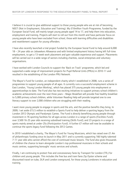I believe it is crucial to give additional support to those young people who are at risk of becoming NEET (Not in Employment, Education and Training). My £10million Youth Programme, funded by the European Social Fund, will mainly target young people aged 14 to 17, and help them into education, employment and training. Projects will start to roll out from this month and have particular focus on young people who have been excluded from school, those with learning difficulties and disabilities and resettlement support for young offenders.

I have also recently launched a trial project funded by the European Social Fund to help around 6,000 18 – 24 year olds on Jobseekers Allowance and with limited employment history having left full-time employment, to get a 13-week work placement and gain valuable experience and support. Placements will be carried out in a wide range of sectors including charities, social enterprises and voluntary organisations.

I have worked with London Councils to support the 'Back on Track' programme, which led and supported a wide range of improvement projects for Pupil Referral Units (PRUs) in 2010-11 and resulted in the establishing of the London PRU Network.

The Mayor's Fund for London, an independent charity which I established in 2008, runs a series of programmes to support young people of all ages. It currently runs a successful employment scheme in East London, 'Young London Working', which has placed 375 young people into employment or apprenticeships to date. The Fund also has two exciting initiatives to support primary school children's academic achievements over the next three years – Magic Breakfast will provide free healthy breakfast to 5,000 primary school children, while Volunteer Reading Help will provide targeted one to one literacy support to over 2,000 children who are struggling with their reading.

I want more young people to engage in sports and the arts, and the positive benefits they bring. In 2009, I set aside  $£15.5$  million to establish a Sports Fund to help deliver a sporting legacy from the London 2012 Olympic and Paralympic Games. The Fund is directly benefiting young people through investment in 76 sporting facilities for all ages across London in a range of sports (Facilities Fund); over 3,500 16-25 year olds receiving subsidised training (Skills Fund); and 23 projects in a range of sports mainly aimed at under-25s (Participation Fund). A further  $E7$  million will now be available to continue the sports legacy fund following the 2012 Games.

In 2010 Lestablished a charity, The Mayor's Fund for Young Musicians, which has raised over £1.4m of philanthropic funding since its launch in May 2011 and is currently supporting 166 highly talented 7-11 year olds who cannot afford the cost of continued music lessons. The fund also gives thousands of children the chance to learn alongside London's top professional musicians in their schools and music centres, supporting boroughs' music services and schools.

Finally, I am continuing to protect free and concessionary fares by Transport for London (TfL) for children and young people. This includes the free bus and tram fares Zip Oyster scheme and discounted travel on tube, DLR and London overground, for those young Londoners in education and training.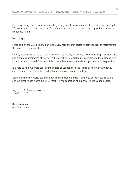Given my strong commitment to supporting young people into apprenticeships, I am now planning for TfL to introduce a travel concession for apprentices similar to the concession enjoyed by students in higher education.

#### **Next steps**

I shall publish the GLA delivery plan in the New Year and immediately begin the task of implementing the report's recommendations.

Clearly, in some areas, the GLA can move forwards quickly. In others, I want to develop a collaborative and ambitious programme of work over the rest of my Mayoral term, by continuing the dialogue with London schools, central Government, boroughs, businesses and cultural, sport and voluntary sectors.

It is hard to find two more contrasting images of London than the scenes of rioting in summer 2011 and the huge positivity of the London Games one year on and their legacy.

Let us now move forward, building a permanent belief in our city's ability to deliver excellence and achieve great things where it matters most - in the education of our children and young people.

June

Boris Johnson Mayor of London